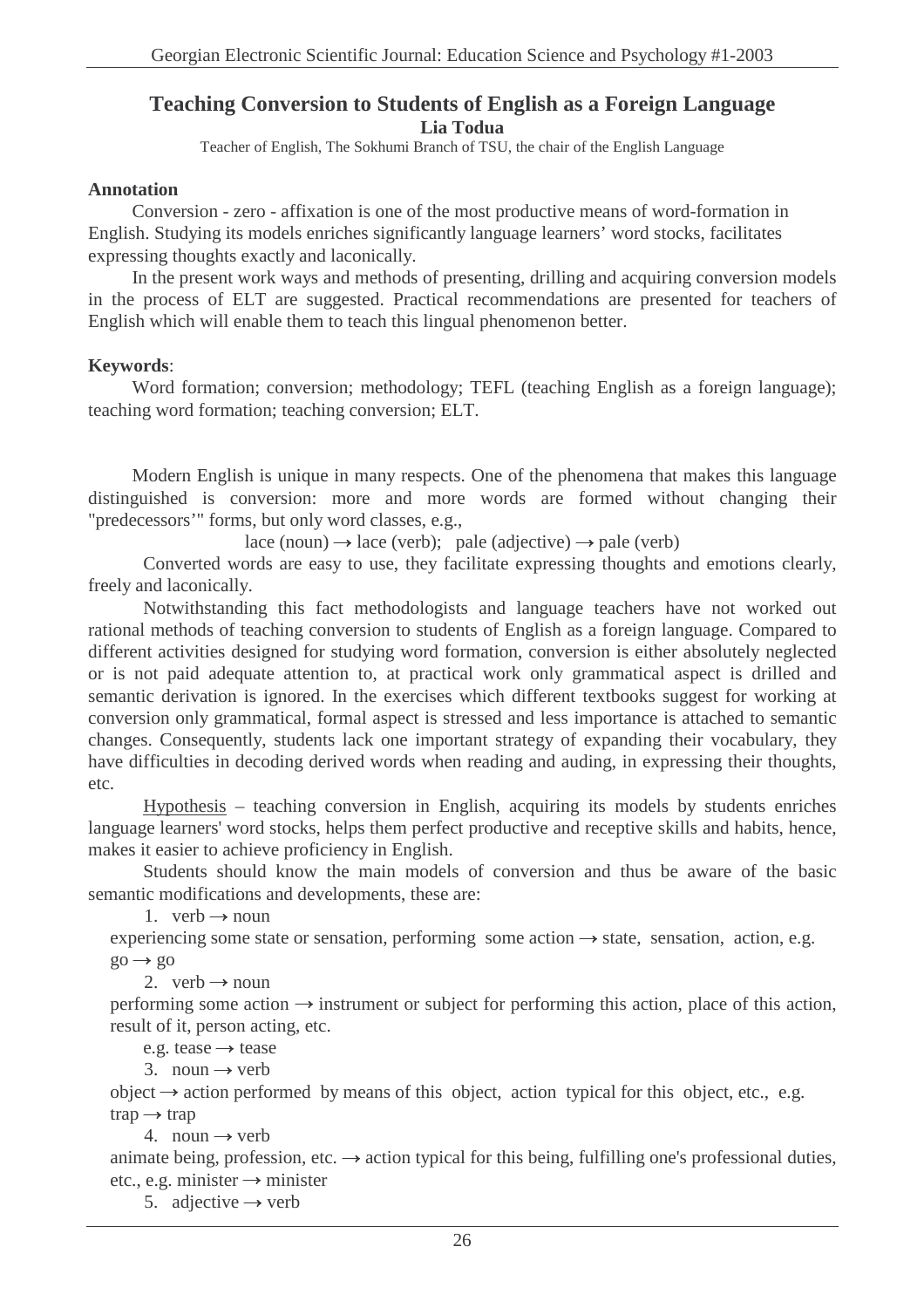## **Teaching Conversion to Students of English as a Foreign Language Lia Todua**

Teacher of English, The Sokhumi Branch of TSU, the chair of the English Language

### **Annotation**

Conversion - zero - affixation is one of the most productive means of word-formation in English. Studying its models enriches significantly language learners' word stocks, facilitates expressing thoughts exactly and laconically.

In the present work ways and methods of presenting, drilling and acquiring conversion models in the process of ELT are suggested. Practical recommendations are presented for teachers of English which will enable them to teach this lingual phenomenon better.

### **Keywords**:

Word formation; conversion; methodology; TEFL (teaching English as a foreign language); teaching word formation; teaching conversion; ELT.

Modern English is unique in many respects. One of the phenomena that makes this language distinguished is conversion: more and more words are formed without changing their "predecessors'" forms, but only word classes, e.g.,

lace (noun)  $\rightarrow$  lace (verb); pale (adjective)  $\rightarrow$  pale (verb)

Converted words are easy to use, they facilitate expressing thoughts and emotions clearly, freely and laconically.

Notwithstanding this fact methodologists and language teachers have not worked out rational methods of teaching conversion to students of English as a foreign language. Compared to different activities designed for studying word formation, conversion is either absolutely neglected or is not paid adequate attention to, at practical work only grammatical aspect is drilled and semantic derivation is ignored. In the exercises which different textbooks suggest for working at conversion only grammatical, formal aspect is stressed and less importance is attached to semantic changes. Consequently, students lack one important strategy of expanding their vocabulary, they have difficulties in decoding derived words when reading and auding, in expressing their thoughts, etc.

Hypothesis – teaching conversion in English, acquiring its models by students enriches language learners' word stocks, helps them perfect productive and receptive skills and habits, hence, makes it easier to achieve proficiency in English.

Students should know the main models of conversion and thus be aware of the basic semantic modifications and developments, these are:

1. verb  $\rightarrow$  noun

experiencing some state or sensation, performing some action  $\rightarrow$  state, sensation, action, e.g.  $\mathrm{g}_0 \rightarrow \mathrm{g}_0$ 

2. verb  $\rightarrow$  noun

performing some action  $\rightarrow$  instrument or subject for performing this action, place of this action, result of it, person acting, etc.

e.g. tease  $\rightarrow$  tease

3. noun  $\rightarrow$  verb

object  $\rightarrow$  action performed by means of this object, action typical for this object, etc., e.g.  $trap \rightarrow trap$ 

4. noun  $\rightarrow$  verb

animate being, profession, etc.  $\rightarrow$  action typical for this being, fulfilling one's professional duties, etc., e.g. minister  $\rightarrow$  minister

5. adjective  $\rightarrow$  verb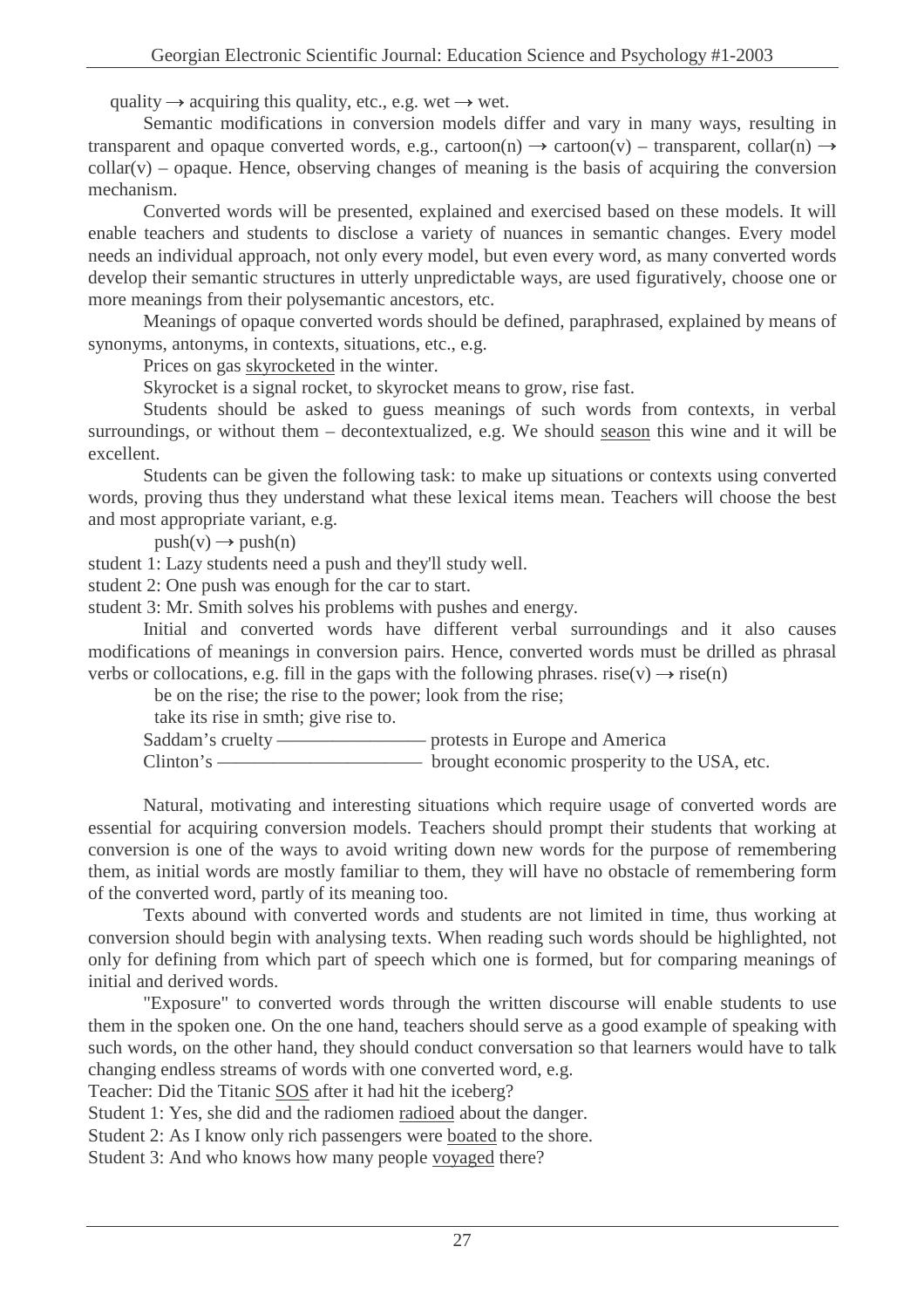quality  $\rightarrow$  acquiring this quality, etc., e.g. wet  $\rightarrow$  wet.

Semantic modifications in conversion models differ and vary in many ways, resulting in transparent and opaque converted words, e.g., cartoon(n)  $\rightarrow$  cartoon(v) – transparent, collar(n)  $\rightarrow$  $\text{collar}(v)$  – opaque. Hence, observing changes of meaning is the basis of acquiring the conversion mechanism.

Converted words will be presented, explained and exercised based on these models. It will enable teachers and students to disclose a variety of nuances in semantic changes. Every model needs an individual approach, not only every model, but even every word, as many converted words develop their semantic structures in utterly unpredictable ways, are used figuratively, choose one or more meanings from their polysemantic ancestors, etc.

Meanings of opaque converted words should be defined, paraphrased, explained by means of synonyms, antonyms, in contexts, situations, etc., e.g.

Prices on gas skyrocketed in the winter.

Skyrocket is a signal rocket, to skyrocket means to grow, rise fast.

Students should be asked to guess meanings of such words from contexts, in verbal surroundings, or without them – decontextualized, e.g. We should season this wine and it will be excellent.

Students can be given the following task: to make up situations or contexts using converted words, proving thus they understand what these lexical items mean. Teachers will choose the best and most appropriate variant, e.g.

 $push(v) \rightarrow push(n)$ 

student 1: Lazy students need a push and they'll study well.

student 2: One push was enough for the car to start.

student 3: Mr. Smith solves his problems with pushes and energy.

Initial and converted words have different verbal surroundings and it also causes modifications of meanings in conversion pairs. Hence, converted words must be drilled as phrasal verbs or collocations, e.g. fill in the gaps with the following phrases. rise(v)  $\rightarrow$  rise(n)

be on the rise; the rise to the power; look from the rise;

take its rise in smth; give rise to.

Saddam's cruelty ———————— protests in Europe and America

Clinton's ——————————— brought economic prosperity to the USA, etc.

Natural, motivating and interesting situations which require usage of converted words are essential for acquiring conversion models. Teachers should prompt their students that working at conversion is one of the ways to avoid writing down new words for the purpose of remembering them, as initial words are mostly familiar to them, they will have no obstacle of remembering form of the converted word, partly of its meaning too.

Texts abound with converted words and students are not limited in time, thus working at conversion should begin with analysing texts. When reading such words should be highlighted, not only for defining from which part of speech which one is formed, but for comparing meanings of initial and derived words.

"Exposure" to converted words through the written discourse will enable students to use them in the spoken one. On the one hand, teachers should serve as a good example of speaking with such words, on the other hand, they should conduct conversation so that learners would have to talk changing endless streams of words with one converted word, e.g.

Teacher: Did the Titanic SOS after it had hit the iceberg?

Student 1: Yes, she did and the radiomen radioed about the danger.

Student 2: As I know only rich passengers were boated to the shore.

Student 3: And who knows how many people voyaged there?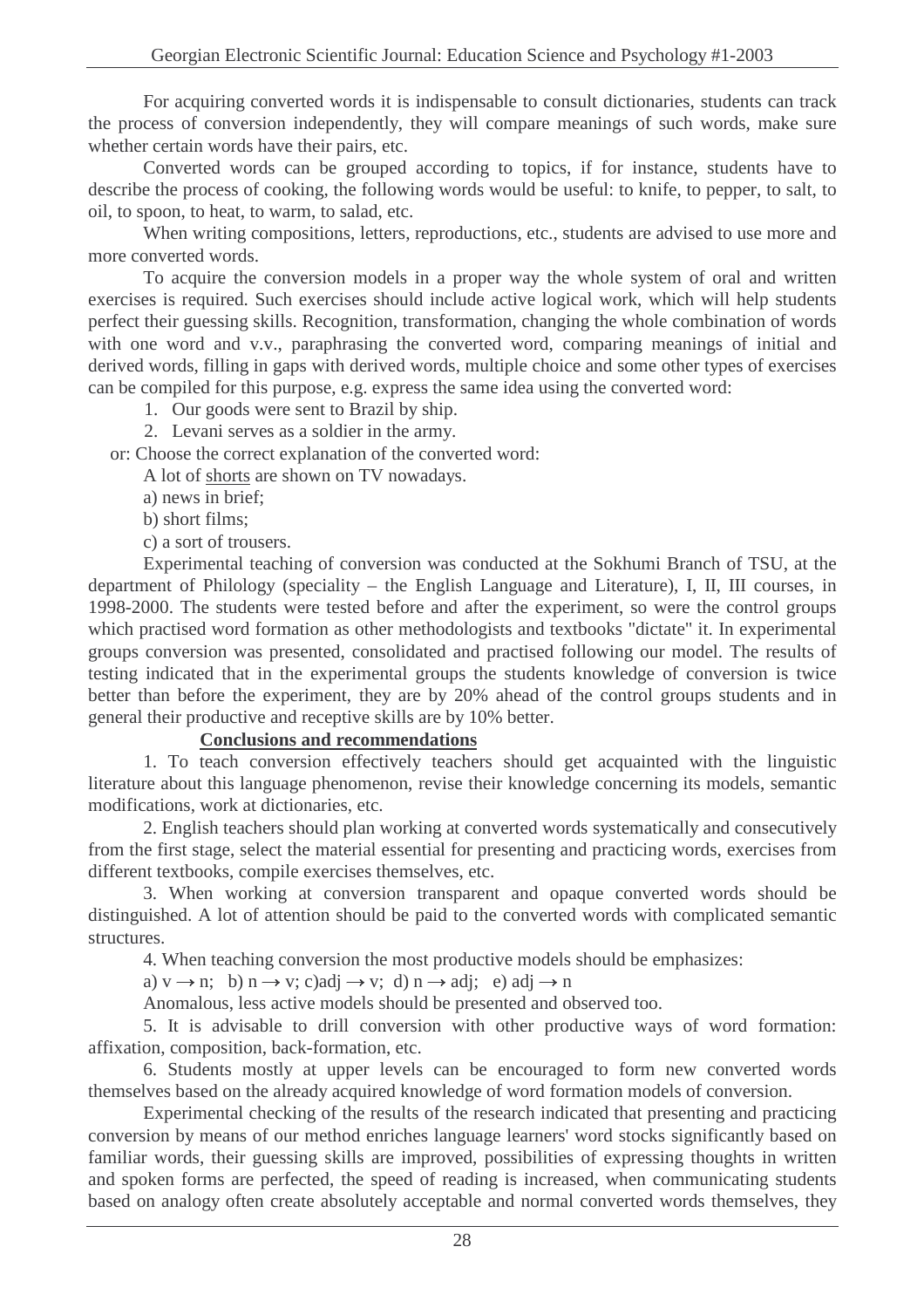For acquiring converted words it is indispensable to consult dictionaries, students can track the process of conversion independently, they will compare meanings of such words, make sure whether certain words have their pairs, etc.

Converted words can be grouped according to topics, if for instance, students have to describe the process of cooking, the following words would be useful: to knife, to pepper, to salt, to oil, to spoon, to heat, to warm, to salad, etc.

When writing compositions, letters, reproductions, etc., students are advised to use more and more converted words.

To acquire the conversion models in a proper way the whole system of oral and written exercises is required. Such exercises should include active logical work, which will help students perfect their guessing skills. Recognition, transformation, changing the whole combination of words with one word and v.v., paraphrasing the converted word, comparing meanings of initial and derived words, filling in gaps with derived words, multiple choice and some other types of exercises can be compiled for this purpose, e.g. express the same idea using the converted word:

1. Our goods were sent to Brazil by ship.

2. Levani serves as a soldier in the army.

or: Choose the correct explanation of the converted word:

A lot of shorts are shown on TV nowadays.

a) news in brief;

b) short films;

c) a sort of trousers.

Experimental teaching of conversion was conducted at the Sokhumi Branch of TSU, at the department of Philology (speciality – the English Language and Literature), I, II, III courses, in 1998-2000. The students were tested before and after the experiment, so were the control groups which practised word formation as other methodologists and textbooks "dictate" it. In experimental groups conversion was presented, consolidated and practised following our model. The results of testing indicated that in the experimental groups the students knowledge of conversion is twice better than before the experiment, they are by 20% ahead of the control groups students and in general their productive and receptive skills are by 10% better.

#### **Conclusions and recommendations**

1. To teach conversion effectively teachers should get acquainted with the linguistic literature about this language phenomenon, revise their knowledge concerning its models, semantic modifications, work at dictionaries, etc.

2. English teachers should plan working at converted words systematically and consecutively from the first stage, select the material essential for presenting and practicing words, exercises from different textbooks, compile exercises themselves, etc.

3. When working at conversion transparent and opaque converted words should be distinguished. A lot of attention should be paid to the converted words with complicated semantic structures.

4. When teaching conversion the most productive models should be emphasizes:

a)  $v \rightarrow n$ ; b)  $n \rightarrow v$ ; c)adj  $\rightarrow v$ ; d)  $n \rightarrow ad$ j; e) adj  $\rightarrow n$ 

Anomalous, less active models should be presented and observed too.

5. It is advisable to drill conversion with other productive ways of word formation: affixation, composition, back-formation, etc.

6. Students mostly at upper levels can be encouraged to form new converted words themselves based on the already acquired knowledge of word formation models of conversion.

Experimental checking of the results of the research indicated that presenting and practicing conversion by means of our method enriches language learners' word stocks significantly based on familiar words, their guessing skills are improved, possibilities of expressing thoughts in written and spoken forms are perfected, the speed of reading is increased, when communicating students based on analogy often create absolutely acceptable and normal converted words themselves, they